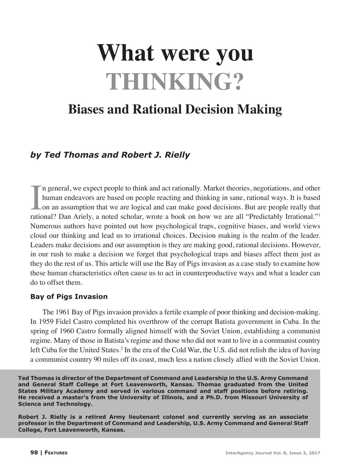# **What were you THINKING?**

# **Biases and Rational Decision Making**

# *by Ted Thomas and Robert J. Rielly*

In general, we expect people to think and act rationally. Market theories, negotiations, and other human endeavors are based on people reacting and thinking in sane, rational ways. It is based on an assumption that we are n general, we expect people to think and act rationally. Market theories, negotiations, and other human endeavors are based on people reacting and thinking in sane, rational ways. It is based on an assumption that we are logical and can make good decisions. But are people really that Numerous authors have pointed out how psychological traps, cognitive biases, and world views cloud our thinking and lead us to irrational choices. Decision making is the realm of the leader. Leaders make decisions and our assumption is they are making good, rational decisions. However, in our rush to make a decision we forget that psychological traps and biases affect them just as they do the rest of us. This article will use the Bay of Pigs invasion as a case study to examine how these human characteristics often cause us to act in counterproductive ways and what a leader can do to offset them.

#### **Bay of Pigs Invasion**

The 1961 Bay of Pigs invasion provides a fertile example of poor thinking and decision-making. In 1959 Fidel Castro completed his overthrow of the corrupt Batista government in Cuba. In the spring of 1960 Castro formally aligned himself with the Soviet Union, establishing a communist regime. Many of those in Batista's regime and those who did not want to live in a communist country left Cuba for the United States.<sup>2</sup> In the era of the Cold War, the U.S. did not relish the idea of having a communist country 90 miles off its coast, much less a nation closely allied with the Soviet Union.

**Ted Thomas is director of the Department of Command and Leadership in the U.S. Army Command and General Staff College at Fort Leavenworth, Kansas. Thomas graduated from the United States Military Academy and served in various command and staff positions before retiring. He received a master's from the University of Illinois, and a Ph.D. from Missouri University of Science and Technology.**

**Robert J. Rielly is a retired Army lieutenant colonel and currently serving as an associate professor in the Department of Command and Leadership, U.S. Army Command and General Staff College, Fort Leavenworth, Kansas.**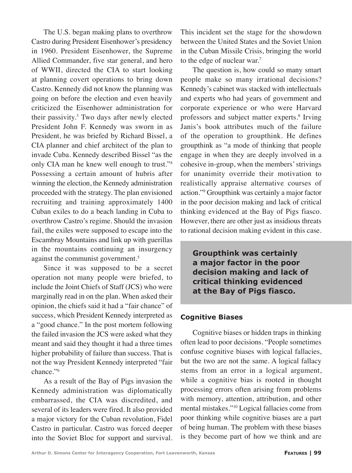The U.S. began making plans to overthrow Castro during President Eisenhower's presidency in 1960. President Eisenhower, the Supreme Allied Commander, five star general, and hero of WWII, directed the CIA to start looking at planning covert operations to bring down Castro. Kennedy did not know the planning was going on before the election and even heavily criticized the Eisenhower administration for their passivity.3 Two days after newly elected President John F. Kennedy was sworn in as President, he was briefed by Richard Bissel, a CIA planner and chief architect of the plan to invade Cuba. Kennedy described Bissel "as the only CIA man he knew well enough to trust."4 Possessing a certain amount of hubris after winning the election, the Kennedy administration proceeded with the strategy. The plan envisioned recruiting and training approximately 1400 Cuban exiles to do a beach landing in Cuba to overthrow Castro's regime. Should the invasion fail, the exiles were supposed to escape into the Escambray Mountains and link up with guerillas in the mountains continuing an insurgency against the communist government.<sup>5</sup>

Since it was supposed to be a secret operation not many people were briefed, to include the Joint Chiefs of Staff (JCS) who were marginally read in on the plan. When asked their opinion, the chiefs said it had a "fair chance" of success, which President Kennedy interpreted as a "good chance." In the post mortem following the failed invasion the JCS were asked what they meant and said they thought it had a three times higher probability of failure than success. That is not the way President Kennedy interpreted "fair chance."6

As a result of the Bay of Pigs invasion the Kennedy administration was diplomatically embarrassed, the CIA was discredited, and several of its leaders were fired. It also provided a major victory for the Cuban revolution, Fidel Castro in particular. Castro was forced deeper into the Soviet Bloc for support and survival. This incident set the stage for the showdown between the United States and the Soviet Union in the Cuban Missile Crisis, bringing the world to the edge of nuclear war.7

The question is, how could so many smart people make so many irrational decisions? Kennedy's cabinet was stacked with intellectuals and experts who had years of government and corporate experience or who were Harvard professors and subject matter experts.<sup>8</sup> Irving Janis's book attributes much of the failure of the operation to groupthink. He defines groupthink as "a mode of thinking that people engage in when they are deeply involved in a cohesive in-group, when the members' strivings for unanimity override their motivation to realistically appraise alternative courses of action."9 Groupthink was certainly a major factor in the poor decision making and lack of critical thinking evidenced at the Bay of Pigs fiasco. However, there are other just as insidious threats to rational decision making evident in this case.

**Groupthink was certainly a major factor in the poor decision making and lack of critical thinking evidenced at the Bay of Pigs fiasco.** 

#### **Cognitive Biases**

Cognitive biases or hidden traps in thinking often lead to poor decisions. "People sometimes confuse cognitive biases with logical fallacies, but the two are not the same. A logical fallacy stems from an error in a logical argument, while a cognitive bias is rooted in thought processing errors often arising from problems with memory, attention, attribution, and other mental mistakes."10 Logical fallacies come from poor thinking while cognitive biases are a part of being human. The problem with these biases is they become part of how we think and are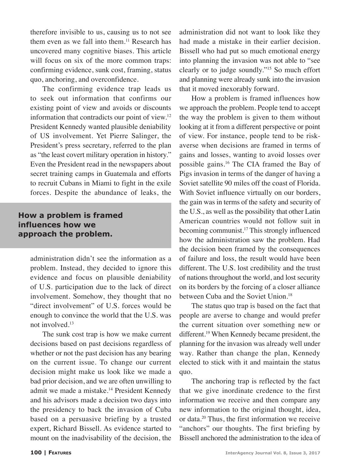therefore invisible to us, causing us to not see them even as we fall into them.<sup>11</sup> Research has uncovered many cognitive biases. This article will focus on six of the more common traps: confirming evidence, sunk cost, framing, status quo, anchoring, and overconfidence.

The confirming evidence trap leads us to seek out information that confirms our existing point of view and avoids or discounts information that contradicts our point of view.12 President Kennedy wanted plausible deniability of US involvement. Yet Pierre Salinger, the President's press secretary, referred to the plan as "the least covert military operation in history." Even the President read in the newspapers about secret training camps in Guatemala and efforts to recruit Cubans in Miami to fight in the exile forces. Despite the abundance of leaks, the

# **How a problem is framed influences how we approach the problem.**

administration didn't see the information as a problem. Instead, they decided to ignore this evidence and focus on plausible deniability of U.S. participation due to the lack of direct involvement. Somehow, they thought that no "direct involvement" of U.S. forces would be enough to convince the world that the U.S. was not involved.13

The sunk cost trap is how we make current decisions based on past decisions regardless of whether or not the past decision has any bearing on the current issue. To change our current decision might make us look like we made a bad prior decision, and we are often unwilling to admit we made a mistake.<sup>14</sup> President Kennedy and his advisors made a decision two days into the presidency to back the invasion of Cuba based on a persuasive briefing by a trusted expert, Richard Bissell. As evidence started to mount on the inadvisability of the decision, the

administration did not want to look like they had made a mistake in their earlier decision. Bissell who had put so much emotional energy into planning the invasion was not able to "see clearly or to judge soundly."15 So much effort and planning were already sunk into the invasion that it moved inexorably forward.

How a problem is framed influences how we approach the problem. People tend to accept the way the problem is given to them without looking at it from a different perspective or point of view. For instance, people tend to be riskaverse when decisions are framed in terms of gains and losses, wanting to avoid losses over possible gains.16 The CIA framed the Bay of Pigs invasion in terms of the danger of having a Soviet satellite 90 miles off the coast of Florida. With Soviet influence virtually on our borders, the gain was in terms of the safety and security of the U.S., as well as the possibility that other Latin American countries would not follow suit in becoming communist.17 This strongly influenced how the administration saw the problem. Had the decision been framed by the consequences of failure and loss, the result would have been different. The U.S. lost credibility and the trust of nations throughout the world, and lost security on its borders by the forcing of a closer alliance between Cuba and the Soviet Union.<sup>18</sup>

The status quo trap is based on the fact that people are averse to change and would prefer the current situation over something new or different.19 When Kennedy became president, the planning for the invasion was already well under way. Rather than change the plan, Kennedy elected to stick with it and maintain the status quo.

The anchoring trap is reflected by the fact that we give inordinate credence to the first information we receive and then compare any new information to the original thought, idea, or data.20 Thus, the first information we receive "anchors" our thoughts. The first briefing by Bissell anchored the administration to the idea of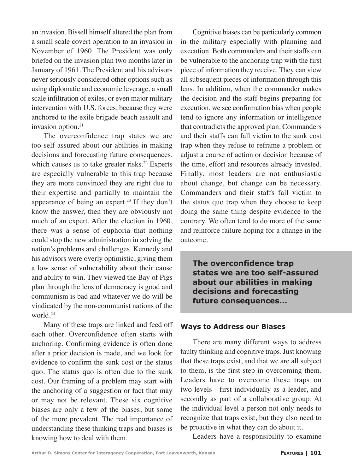an invasion. Bissell himself altered the plan from a small scale covert operation to an invasion in November of 1960. The President was only briefed on the invasion plan two months later in January of 1961. The President and his advisors never seriously considered other options such as using diplomatic and economic leverage, a small scale infiltration of exiles, or even major military intervention with U.S. forces, because they were anchored to the exile brigade beach assault and invasion option.21

The overconfidence trap states we are too self-assured about our abilities in making decisions and forecasting future consequences, which causes us to take greater risks. $22$  Experts are especially vulnerable to this trap because they are more convinced they are right due to their expertise and partially to maintain the appearance of being an expert.23 If they don't know the answer, then they are obviously not much of an expert. After the election in 1960, there was a sense of euphoria that nothing could stop the new administration in solving the nation's problems and challenges. Kennedy and his advisors were overly optimistic, giving them a low sense of vulnerability about their cause and ability to win. They viewed the Bay of Pigs plan through the lens of democracy is good and communism is bad and whatever we do will be vindicated by the non-communist nations of the world.24

Many of these traps are linked and feed off each other. Overconfidence often starts with anchoring. Confirming evidence is often done after a prior decision is made, and we look for evidence to confirm the sunk cost or the status quo. The status quo is often due to the sunk cost. Our framing of a problem may start with the anchoring of a suggestion or fact that may or may not be relevant. These six cognitive biases are only a few of the biases, but some of the more prevalent. The real importance of understanding these thinking traps and biases is knowing how to deal with them.

Cognitive biases can be particularly common in the military especially with planning and execution. Both commanders and their staffs can be vulnerable to the anchoring trap with the first piece of information they receive. They can view all subsequent pieces of information through this lens. In addition, when the commander makes the decision and the staff begins preparing for execution, we see confirmation bias when people tend to ignore any information or intelligence that contradicts the approved plan. Commanders and their staffs can fall victim to the sunk cost trap when they refuse to reframe a problem or adjust a course of action or decision because of the time, effort and resources already invested. Finally, most leaders are not enthusiastic about change, but change can be necessary. Commanders and their staffs fall victim to the status quo trap when they choose to keep doing the same thing despite evidence to the contrary. We often tend to do more of the same and reinforce failure hoping for a change in the outcome.

**The overconfidence trap states we are too self-assured about our abilities in making decisions and forecasting future consequences...**

#### **Ways to Address our Biases**

There are many different ways to address faulty thinking and cognitive traps. Just knowing that these traps exist, and that we are all subject to them, is the first step in overcoming them. Leaders have to overcome these traps on two levels - first individually as a leader, and secondly as part of a collaborative group. At the individual level a person not only needs to recognize that traps exist, but they also need to be proactive in what they can do about it.

Leaders have a responsibility to examine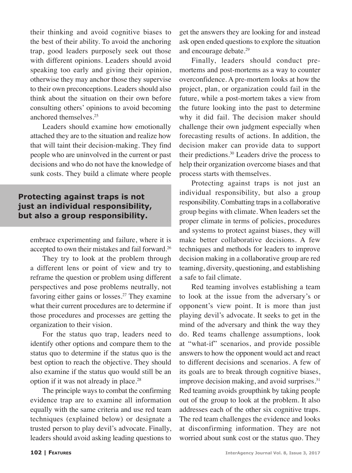their thinking and avoid cognitive biases to the best of their ability. To avoid the anchoring trap, good leaders purposely seek out those with different opinions. Leaders should avoid speaking too early and giving their opinion, otherwise they may anchor those they supervise to their own preconceptions. Leaders should also think about the situation on their own before consulting others' opinions to avoid becoming anchored themselves.25

Leaders should examine how emotionally attached they are to the situation and realize how that will taint their decision-making. They find people who are uninvolved in the current or past decisions and who do not have the knowledge of sunk costs. They build a climate where people

# **Protecting against traps is not just an individual responsibility, but also a group responsibility.**

embrace experimenting and failure, where it is accepted to own their mistakes and fail forward.26

They try to look at the problem through a different lens or point of view and try to reframe the question or problem using different perspectives and pose problems neutrally, not favoring either gains or losses.<sup>27</sup> They examine what their current procedures are to determine if those procedures and processes are getting the organization to their vision.

For the status quo trap, leaders need to identify other options and compare them to the status quo to determine if the status quo is the best option to reach the objective. They should also examine if the status quo would still be an option if it was not already in place.<sup>28</sup>

The principle ways to combat the confirming evidence trap are to examine all information equally with the same criteria and use red team techniques (explained below) or designate a trusted person to play devil's advocate. Finally, leaders should avoid asking leading questions to

get the answers they are looking for and instead ask open ended questions to explore the situation and encourage debate.<sup>29</sup>

Finally, leaders should conduct premortems and post-mortems as a way to counter overconfidence. A pre-mortem looks at how the project, plan, or organization could fail in the future, while a post-mortem takes a view from the future looking into the past to determine why it did fail. The decision maker should challenge their own judgment especially when forecasting results of actions. In addition, the decision maker can provide data to support their predictions.30 Leaders drive the process to help their organization overcome biases and that process starts with themselves.

Protecting against traps is not just an individual responsibility, but also a group responsibility. Combatting traps in a collaborative group begins with climate. When leaders set the proper climate in terms of policies, procedures and systems to protect against biases, they will make better collaborative decisions. A few techniques and methods for leaders to improve decision making in a collaborative group are red teaming, diversity, questioning, and establishing a safe to fail climate.

Red teaming involves establishing a team to look at the issue from the adversary's or opponent's view point. It is more than just playing devil's advocate. It seeks to get in the mind of the adversary and think the way they do. Red teams challenge assumptions, look at "what-if" scenarios, and provide possible answers to how the opponent would act and react to different decisions and scenarios. A few of its goals are to break through cognitive biases, improve decision making, and avoid surprises. $31$ Red teaming avoids groupthink by taking people out of the group to look at the problem. It also addresses each of the other six cognitive traps. The red team challenges the evidence and looks at disconfirming information. They are not worried about sunk cost or the status quo. They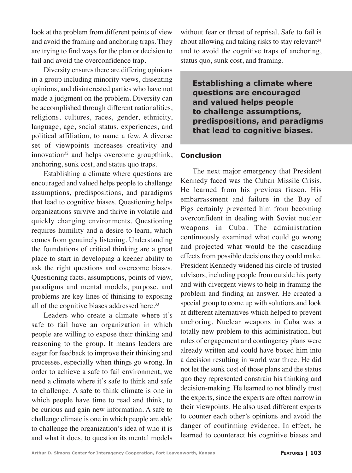look at the problem from different points of view and avoid the framing and anchoring traps. They are trying to find ways for the plan or decision to fail and avoid the overconfidence trap.

Diversity ensures there are differing opinions in a group including minority views, dissenting opinions, and disinterested parties who have not made a judgment on the problem. Diversity can be accomplished through different nationalities, religions, cultures, races, gender, ethnicity, language, age, social status, experiences, and political affiliation, to name a few. A diverse set of viewpoints increases creativity and innovation<sup>32</sup> and helps overcome groupthink, anchoring, sunk cost, and status quo traps.

Establishing a climate where questions are encouraged and valued helps people to challenge assumptions, predispositions, and paradigms that lead to cognitive biases. Questioning helps organizations survive and thrive in volatile and quickly changing environments. Questioning requires humility and a desire to learn, which comes from genuinely listening. Understanding the foundations of critical thinking are a great place to start in developing a keener ability to ask the right questions and overcome biases. Questioning facts, assumptions, points of view, paradigms and mental models, purpose, and problems are key lines of thinking to exposing all of the cognitive biases addressed here.<sup>33</sup>

Leaders who create a climate where it's safe to fail have an organization in which people are willing to expose their thinking and reasoning to the group. It means leaders are eager for feedback to improve their thinking and processes, especially when things go wrong. In order to achieve a safe to fail environment, we need a climate where it's safe to think and safe to challenge. A safe to think climate is one in which people have time to read and think, to be curious and gain new information. A safe to challenge climate is one in which people are able to challenge the organization's idea of who it is and what it does, to question its mental models

without fear or threat of reprisal. Safe to fail is about allowing and taking risks to stay relevant  $34$ and to avoid the cognitive traps of anchoring, status quo, sunk cost, and framing.

**Establishing a climate where questions are encouraged and valued helps people to challenge assumptions, predispositions, and paradigms that lead to cognitive biases.**

### **Conclusion**

The next major emergency that President Kennedy faced was the Cuban Missile Crisis. He learned from his previous fiasco. His embarrassment and failure in the Bay of Pigs certainly prevented him from becoming overconfident in dealing with Soviet nuclear weapons in Cuba. The administration continuously examined what could go wrong and projected what would be the cascading effects from possible decisions they could make. President Kennedy widened his circle of trusted advisors, including people from outside his party and with divergent views to help in framing the problem and finding an answer. He created a special group to come up with solutions and look at different alternatives which helped to prevent anchoring. Nuclear weapons in Cuba was a totally new problem to this administration, but rules of engagement and contingency plans were already written and could have boxed him into a decision resulting in world war three. He did not let the sunk cost of those plans and the status quo they represented constrain his thinking and decision-making. He learned to not blindly trust the experts, since the experts are often narrow in their viewpoints. He also used different experts to counter each other's opinions and avoid the danger of confirming evidence. In effect, he learned to counteract his cognitive biases and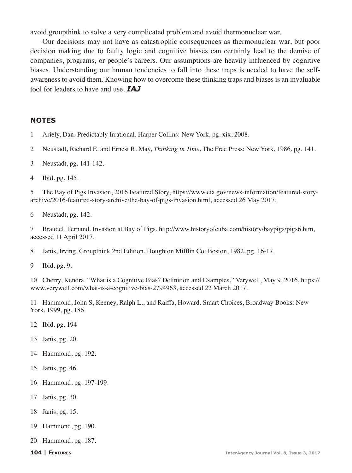avoid groupthink to solve a very complicated problem and avoid thermonuclear war.

Our decisions may not have as catastrophic consequences as thermonuclear war, but poor decision making due to faulty logic and cognitive biases can certainly lead to the demise of companies, programs, or people's careers. Our assumptions are heavily influenced by cognitive biases. Understanding our human tendencies to fall into these traps is needed to have the selfawareness to avoid them. Knowing how to overcome these thinking traps and biases is an invaluable tool for leaders to have and use. *IAJ*

#### **NOTES**

- Ariely, Dan. Predictably Irrational. Harper Collins: New York, pg. xix, 2008.
- Neustadt, Richard E. and Ernest R. May, *Thinking in Time*, The Free Press: New York, 1986, pg. 141.
- Neustadt, pg. 141-142.
- Ibid. pg. 145.

 The Bay of Pigs Invasion, 2016 Featured Story, https://www.cia.gov/news-information/featured-storyarchive/2016-featured-story-archive/the-bay-of-pigs-invasion.html, accessed 26 May 2017.

Neustadt, pg. 142.

 Braudel, Fernand. Invasion at Bay of Pigs, http://www.historyofcuba.com/history/baypigs/pigs6.htm, accessed 11 April 2017.

Janis, Irving, Groupthink 2nd Edition, Houghton Mifflin Co: Boston, 1982, pg. 16-17.

Ibid. pg. 9.

 Cherry, Kendra. "What is a Cognitive Bias? Definition and Examples," Verywell, May 9, 2016, https:// www.verywell.com/what-is-a-cognitive-bias-2794963, accessed 22 March 2017.

 Hammond, John S, Keeney, Ralph L., and Raiffa, Howard. Smart Choices, Broadway Books: New York, 1999, pg. 186.

- Ibid. pg. 194
- Janis, pg. 20.
- Hammond, pg. 192.
- Janis, pg. 46.
- Hammond, pg. 197-199.
- Janis, pg. 30.
- Janis, pg. 15.
- Hammond, pg. 190.
- Hammond, pg. 187.
-